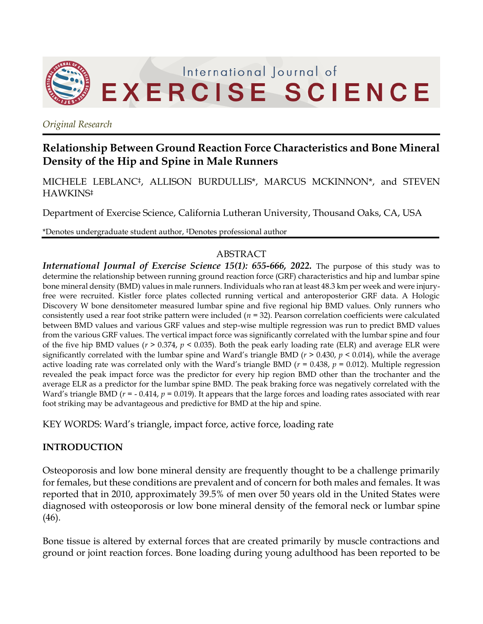

*Original Research*

# **Relationship Between Ground Reaction Force Characteristics and Bone Mineral Density of the Hip and Spine in Male Runners**

MICHELE LEBLANC‡, ALLISON BURDULLIS\*, MARCUS MCKINNON\*, and STEVEN HAWKINS‡

Department of Exercise Science, California Lutheran University, Thousand Oaks, CA, USA

\*Denotes undergraduate student author, ‡Denotes professional author

# ABSTRACT

*International Journal of Exercise Science 15(1): 655-666, 2022.* The purpose of this study was to determine the relationship between running ground reaction force (GRF) characteristics and hip and lumbar spine bone mineral density (BMD) values in male runners. Individuals who ran at least 48.3 km per week and were injuryfree were recruited. Kistler force plates collected running vertical and anteroposterior GRF data. A Hologic Discovery W bone densitometer measured lumbar spine and five regional hip BMD values. Only runners who consistently used a rear foot strike pattern were included (*n* = 32). Pearson correlation coefficients were calculated between BMD values and various GRF values and step-wise multiple regression was run to predict BMD values from the various GRF values. The vertical impact force was significantly correlated with the lumbar spine and four of the five hip BMD values (*r* > 0.374, *p* < 0.035). Both the peak early loading rate (ELR) and average ELR were significantly correlated with the lumbar spine and Ward's triangle BMD (*r* > 0.430, *p* < 0.014), while the average active loading rate was correlated only with the Ward's triangle BMD ( $r = 0.438$ ,  $p = 0.012$ ). Multiple regression revealed the peak impact force was the predictor for every hip region BMD other than the trochanter and the average ELR as a predictor for the lumbar spine BMD. The peak braking force was negatively correlated with the Ward's triangle BMD ( $r = -0.414$ ,  $p = 0.019$ ). It appears that the large forces and loading rates associated with rear foot striking may be advantageous and predictive for BMD at the hip and spine.

KEY WORDS: Ward's triangle, impact force, active force, loading rate

# **INTRODUCTION**

Osteoporosis and low bone mineral density are frequently thought to be a challenge primarily for females, but these conditions are prevalent and of concern for both males and females. It was reported that in 2010, approximately 39.5% of men over 50 years old in the United States were diagnosed with osteoporosis or low bone mineral density of the femoral neck or lumbar spine (46).

Bone tissue is altered by external forces that are created primarily by muscle contractions and ground or joint reaction forces. Bone loading during young adulthood has been reported to be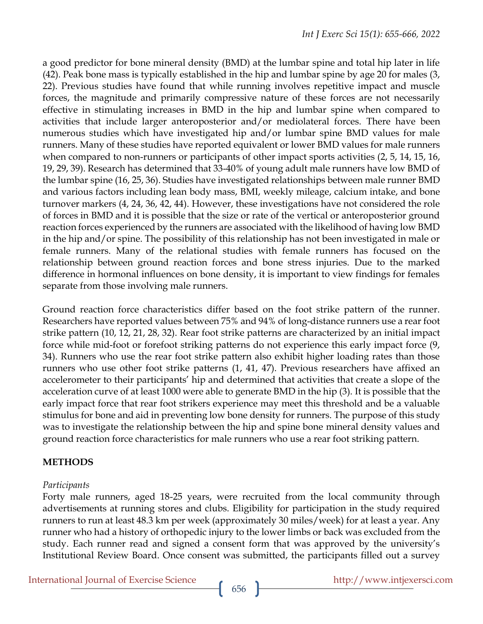a good predictor for bone mineral density (BMD) at the lumbar spine and total hip later in life (42). Peak bone mass is typically established in the hip and lumbar spine by age 20 for males (3, 22). Previous studies have found that while running involves repetitive impact and muscle forces, the magnitude and primarily compressive nature of these forces are not necessarily effective in stimulating increases in BMD in the hip and lumbar spine when compared to activities that include larger anteroposterior and/or mediolateral forces. There have been numerous studies which have investigated hip and/or lumbar spine BMD values for male runners. Many of these studies have reported equivalent or lower BMD values for male runners when compared to non-runners or participants of other impact sports activities (2, 5, 14, 15, 16, 19, 29, 39). Research has determined that 33-40% of young adult male runners have low BMD of the lumbar spine (16, 25, 36). Studies have investigated relationships between male runner BMD and various factors including lean body mass, BMI, weekly mileage, calcium intake, and bone turnover markers (4, 24, 36, 42, 44). However, these investigations have not considered the role of forces in BMD and it is possible that the size or rate of the vertical or anteroposterior ground reaction forces experienced by the runners are associated with the likelihood of having low BMD in the hip and/or spine. The possibility of this relationship has not been investigated in male or female runners. Many of the relational studies with female runners has focused on the relationship between ground reaction forces and bone stress injuries. Due to the marked difference in hormonal influences on bone density, it is important to view findings for females separate from those involving male runners.

Ground reaction force characteristics differ based on the foot strike pattern of the runner. Researchers have reported values between 75% and 94% of long-distance runners use a rear foot strike pattern (10, 12, 21, 28, 32). Rear foot strike patterns are characterized by an initial impact force while mid-foot or forefoot striking patterns do not experience this early impact force (9, 34). Runners who use the rear foot strike pattern also exhibit higher loading rates than those runners who use other foot strike patterns (1, 41, 47). Previous researchers have affixed an accelerometer to their participants' hip and determined that activities that create a slope of the acceleration curve of at least 1000 were able to generate BMD in the hip (3). It is possible that the early impact force that rear foot strikers experience may meet this threshold and be a valuable stimulus for bone and aid in preventing low bone density for runners. The purpose of this study was to investigate the relationship between the hip and spine bone mineral density values and ground reaction force characteristics for male runners who use a rear foot striking pattern.

# **METHODS**

# *Participants*

Forty male runners, aged 18-25 years, were recruited from the local community through advertisements at running stores and clubs. Eligibility for participation in the study required runners to run at least 48.3 km per week (approximately 30 miles/week) for at least a year. Any runner who had a history of orthopedic injury to the lower limbs or back was excluded from the study. Each runner read and signed a consent form that was approved by the university's Institutional Review Board. Once consent was submitted, the participants filled out a survey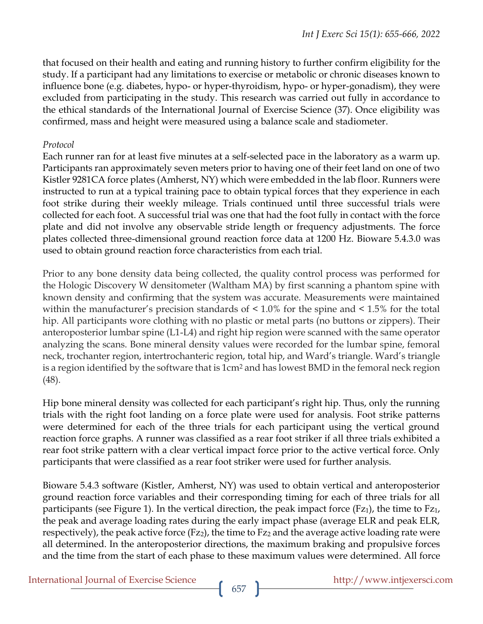that focused on their health and eating and running history to further confirm eligibility for the study. If a participant had any limitations to exercise or metabolic or chronic diseases known to influence bone (e.g. diabetes, hypo- or hyper-thyroidism, hypo- or hyper-gonadism), they were excluded from participating in the study. This research was carried out fully in accordance to the ethical standards of the International Journal of Exercise Science (37). Once eligibility was confirmed, mass and height were measured using a balance scale and stadiometer.

#### *Protocol*

Each runner ran for at least five minutes at a self-selected pace in the laboratory as a warm up. Participants ran approximately seven meters prior to having one of their feet land on one of two Kistler 9281CA force plates (Amherst, NY) which were embedded in the lab floor. Runners were instructed to run at a typical training pace to obtain typical forces that they experience in each foot strike during their weekly mileage. Trials continued until three successful trials were collected for each foot. A successful trial was one that had the foot fully in contact with the force plate and did not involve any observable stride length or frequency adjustments. The force plates collected three-dimensional ground reaction force data at 1200 Hz. Bioware 5.4.3.0 was used to obtain ground reaction force characteristics from each trial.

Prior to any bone density data being collected, the quality control process was performed for the Hologic Discovery W densitometer (Waltham MA) by first scanning a phantom spine with known density and confirming that the system was accurate. Measurements were maintained within the manufacturer's precision standards of < 1.0% for the spine and < 1.5% for the total hip. All participants wore clothing with no plastic or metal parts (no buttons or zippers). Their anteroposterior lumbar spine (L1-L4) and right hip region were scanned with the same operator analyzing the scans. Bone mineral density values were recorded for the lumbar spine, femoral neck, trochanter region, intertrochanteric region, total hip, and Ward's triangle. Ward's triangle is a region identified by the software that is 1cm<sup>2</sup> and has lowest BMD in the femoral neck region (48).

Hip bone mineral density was collected for each participant's right hip. Thus, only the running trials with the right foot landing on a force plate were used for analysis. Foot strike patterns were determined for each of the three trials for each participant using the vertical ground reaction force graphs. A runner was classified as a rear foot striker if all three trials exhibited a rear foot strike pattern with a clear vertical impact force prior to the active vertical force. Only participants that were classified as a rear foot striker were used for further analysis.

Bioware 5.4.3 software (Kistler, Amherst, NY) was used to obtain vertical and anteroposterior ground reaction force variables and their corresponding timing for each of three trials for all participants (see Figure 1). In the vertical direction, the peak impact force  $(Fz_1)$ , the time to  $Fz_1$ , the peak and average loading rates during the early impact phase (average ELR and peak ELR, respectively), the peak active force (Fz<sub>2</sub>), the time to Fz<sub>2</sub> and the average active loading rate were all determined. In the anteroposterior directions, the maximum braking and propulsive forces and the time from the start of each phase to these maximum values were determined. All force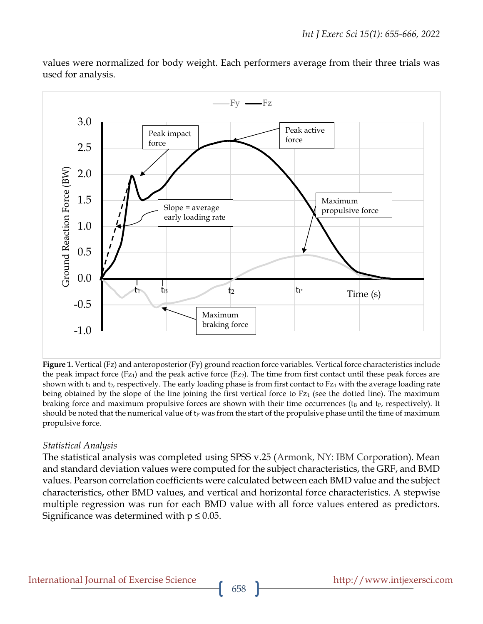

values were normalized for body weight. Each performers average from their three trials was used for analysis.

**Figure 1.** Vertical (Fz) and anteroposterior (Fy) ground reaction force variables. Vertical force characteristics include the peak impact force (Fz<sub>1</sub>) and the peak active force (Fz<sub>2</sub>). The time from first contact until these peak forces are shown with  $t_1$  and  $t_2$ , respectively. The early loading phase is from first contact to  $Fz_1$  with the average loading rate being obtained by the slope of the line joining the first vertical force to  $Fz_1$  (see the dotted line). The maximum braking force and maximum propulsive forces are shown with their time occurrences ( $t_B$  and  $t_P$ , respectively). It should be noted that the numerical value of  $t<sub>P</sub>$  was from the start of the propulsive phase until the time of maximum propulsive force.

# *Statistical Analysis*

The statistical analysis was completed using SPSS v.25 (Armonk, NY: IBM Corporation). Mean and standard deviation values were computed for the subject characteristics, the GRF, and BMD values. Pearson correlation coefficients were calculated between each BMD value and the subject characteristics, other BMD values, and vertical and horizontal force characteristics. A stepwise multiple regression was run for each BMD value with all force values entered as predictors. Significance was determined with  $p \leq 0.05$ .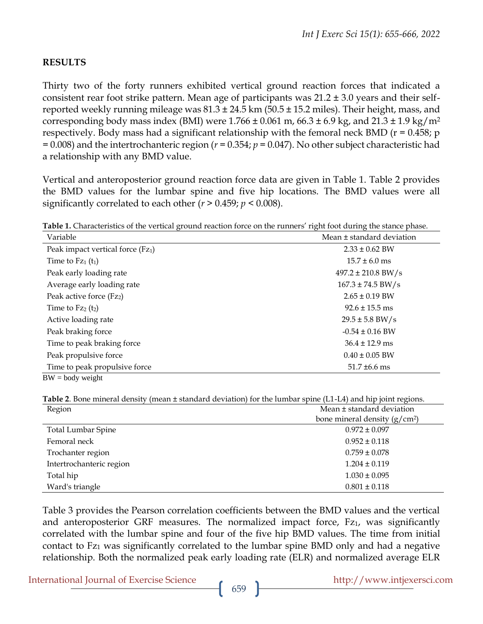#### **RESULTS**

Thirty two of the forty runners exhibited vertical ground reaction forces that indicated a consistent rear foot strike pattern. Mean age of participants was  $21.2 \pm 3.0$  years and their selfreported weekly running mileage was  $81.3 \pm 24.5$  km ( $50.5 \pm 15.2$  miles). Their height, mass, and corresponding body mass index (BMI) were  $1.766 \pm 0.061$  m,  $66.3 \pm 6.9$  kg, and  $21.3 \pm 1.9$  kg/m<sup>2</sup> respectively. Body mass had a significant relationship with the femoral neck BMD ( $r = 0.458$ ; p = 0.008) and the intertrochanteric region (*r* = 0.354; *p* = 0.047). No other subject characteristic had a relationship with any BMD value.

Vertical and anteroposterior ground reaction force data are given in Table 1. Table 2 provides the BMD values for the lumbar spine and five hip locations. The BMD values were all significantly correlated to each other ( $r > 0.459$ ;  $p < 0.008$ ).

**Table 1.** Characteristics of the vertical ground reaction force on the runners' right foot during the stance phase.

| Variable                             | Mean ± standard deviation |  |  |
|--------------------------------------|---------------------------|--|--|
| Peak impact vertical force $(Fz_1)$  | $2.33 \pm 0.62$ BW        |  |  |
| Time to $Fz_1(t_1)$                  | $15.7 \pm 6.0$ ms         |  |  |
| Peak early loading rate              | $497.2 \pm 210.8$ BW/s    |  |  |
| Average early loading rate           | $167.3 \pm 74.5$ BW/s     |  |  |
| Peak active force (Fz <sub>2</sub> ) | $2.65 \pm 0.19$ BW        |  |  |
| Time to $Fz_2(t_2)$                  | $92.6 \pm 15.5$ ms        |  |  |
| Active loading rate                  | $29.5 \pm 5.8$ BW/s       |  |  |
| Peak braking force                   | $-0.54 \pm 0.16$ BW       |  |  |
| Time to peak braking force           | $36.4 \pm 12.9$ ms        |  |  |
| Peak propulsive force                | $0.40 \pm 0.05$ BW        |  |  |
| Time to peak propulsive force        | $51.7 \pm 6.6$ ms         |  |  |
| $BW = body weight$                   |                           |  |  |

**Table 2**. Bone mineral density (mean ± standard deviation) for the lumbar spine (L1-L4) and hip joint regions.

| Region                    | Mean ± standard deviation       |  |  |
|---------------------------|---------------------------------|--|--|
|                           | bone mineral density $(g/cm^2)$ |  |  |
| <b>Total Lumbar Spine</b> | $0.972 \pm 0.097$               |  |  |
| Femoral neck              | $0.952 \pm 0.118$               |  |  |
| Trochanter region         | $0.759 \pm 0.078$               |  |  |
| Intertrochanteric region  | $1.204 \pm 0.119$               |  |  |
| Total hip                 | $1.030 \pm 0.095$               |  |  |
| Ward's triangle           | $0.801 \pm 0.118$               |  |  |

Table 3 provides the Pearson correlation coefficients between the BMD values and the vertical and anteroposterior GRF measures. The normalized impact force, Fz<sub>1</sub>, was significantly correlated with the lumbar spine and four of the five hip BMD values. The time from initial contact to Fz<sub>1</sub> was significantly correlated to the lumbar spine BMD only and had a negative relationship. Both the normalized peak early loading rate (ELR) and normalized average ELR

International Journal of Exercise Science http://www.intjexersci.com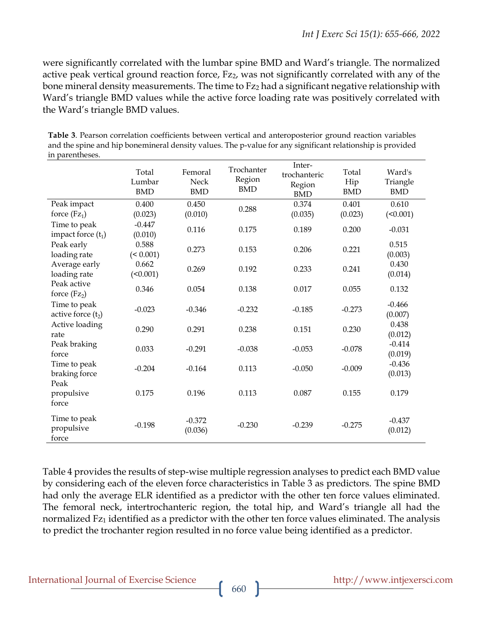were significantly correlated with the lumbar spine BMD and Ward's triangle. The normalized active peak vertical ground reaction force, Fz<sub>2</sub>, was not significantly correlated with any of the bone mineral density measurements. The time to Fz<sub>2</sub> had a significant negative relationship with Ward's triangle BMD values while the active force loading rate was positively correlated with the Ward's triangle BMD values.

| in parentheses.                                                |                                                                                                                                                                                                                                                            |                               |                                    |                                                |                            |                                  |
|----------------------------------------------------------------|------------------------------------------------------------------------------------------------------------------------------------------------------------------------------------------------------------------------------------------------------------|-------------------------------|------------------------------------|------------------------------------------------|----------------------------|----------------------------------|
|                                                                | Total<br>Lumbar<br><b>BMD</b>                                                                                                                                                                                                                              | Femoral<br>Neck<br><b>BMD</b> | Trochanter<br>Region<br><b>BMD</b> | Inter-<br>trochanteric<br>Region<br><b>BMD</b> | Total<br>Hip<br><b>BMD</b> | Ward's<br>Triangle<br><b>BMD</b> |
| Peak impact<br>force $(Fz_1)$                                  | 0.400<br>(0.023)                                                                                                                                                                                                                                           | 0.450<br>(0.010)              | 0.288                              | 0.374<br>(0.035)                               | 0.401<br>(0.023)           | 0.610<br>(<0.001)                |
| Time to peak<br>impact force $(t_1)$                           | $-0.447$<br>(0.010)                                                                                                                                                                                                                                        | 0.116                         | 0.175                              | 0.189                                          | 0.200                      | $-0.031$                         |
| Peak early<br>loading rate                                     | 0.588<br>0.273<br>(50.001)                                                                                                                                                                                                                                 | 0.153                         | 0.206                              | 0.221                                          | 0.515<br>(0.003)           |                                  |
| Average early<br>0.662<br>0.269<br>loading rate<br>$($ <0.001) | 0.192                                                                                                                                                                                                                                                      | 0.233                         | 0.241                              | 0.430<br>(0.014)                               |                            |                                  |
| Peak active<br>force $(Fz_2)$                                  | 0.346<br>0.054<br>0.138<br>0.017<br>$-0.023$<br>$-0.346$<br>$-0.232$<br>$-0.185$<br>0.290<br>0.291<br>0.238<br>0.151<br>0.033<br>$-0.291$<br>$-0.038$<br>$-0.053$<br>$-0.204$<br>0.113<br>$-0.050$<br>$-0.164$<br>Peak<br>0.175<br>0.196<br>0.113<br>0.087 | 0.055                         | 0.132                              |                                                |                            |                                  |
| Time to peak<br>active force $(t_2)$                           |                                                                                                                                                                                                                                                            |                               |                                    | $-0.273$                                       | $-0.466$<br>(0.007)        |                                  |
| Active loading<br>rate                                         |                                                                                                                                                                                                                                                            |                               |                                    | 0.230                                          | 0.438<br>(0.012)           |                                  |
| Peak braking<br>force                                          |                                                                                                                                                                                                                                                            |                               |                                    | $-0.078$                                       | $-0.414$<br>(0.019)        |                                  |
| Time to peak<br>braking force                                  |                                                                                                                                                                                                                                                            |                               |                                    | $-0.009$                                       | $-0.436$<br>(0.013)        |                                  |
| propulsive<br>force                                            |                                                                                                                                                                                                                                                            |                               |                                    | 0.155                                          | 0.179                      |                                  |
| Time to peak<br>propulsive<br>force                            | $-0.198$                                                                                                                                                                                                                                                   | $-0.372$<br>(0.036)           | $-0.230$                           | $-0.239$                                       | $-0.275$                   | $-0.437$<br>(0.012)              |

**Table 3**. Pearson correlation coefficients between vertical and anteroposterior ground reaction variables and the spine and hip bonemineral density values. The p-value for any significant relationship is provided

Table 4 provides the results of step-wise multiple regression analyses to predict each BMD value by considering each of the eleven force characteristics in Table 3 as predictors. The spine BMD had only the average ELR identified as a predictor with the other ten force values eliminated. The femoral neck, intertrochanteric region, the total hip, and Ward's triangle all had the normalized Fz<sub>1</sub> identified as a predictor with the other ten force values eliminated. The analysis to predict the trochanter region resulted in no force value being identified as a predictor.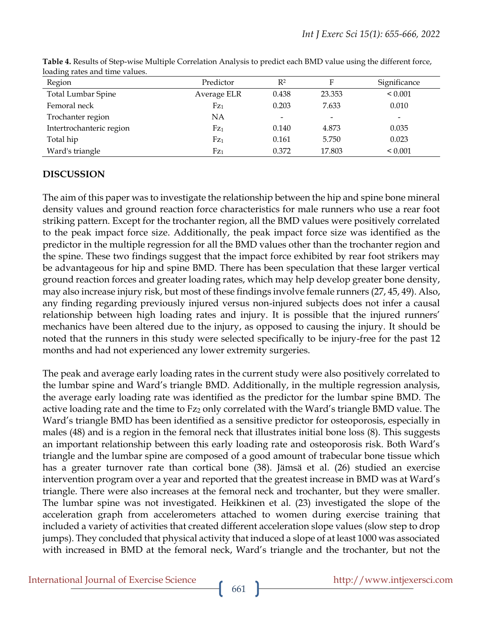| $\frac{1}{2}$             |                 |                              |                          |                          |
|---------------------------|-----------------|------------------------------|--------------------------|--------------------------|
| Region                    | Predictor       | R <sup>2</sup>               | Е                        | Significance             |
| <b>Total Lumbar Spine</b> | Average ELR     | 0.438                        | 23.353                   | ${}_{0.001}$             |
| Femoral neck              | Fz <sub>1</sub> | 0.203                        | 7.633                    | 0.010                    |
| Trochanter region         | NA              | $\qquad \qquad \blacksquare$ | $\overline{\phantom{a}}$ | $\overline{\phantom{0}}$ |
| Intertrochanteric region  | Fz <sub>1</sub> | 0.140                        | 4.873                    | 0.035                    |
| Total hip                 | Fz <sub>1</sub> | 0.161                        | 5.750                    | 0.023                    |
| Ward's triangle           | Fz <sub>1</sub> | 0.372                        | 17.803                   | ${}_{0.001}$             |

**Table 4.** Results of Step-wise Multiple Correlation Analysis to predict each BMD value using the different force, loading rates and time values.

# **DISCUSSION**

The aim of this paper was to investigate the relationship between the hip and spine bone mineral density values and ground reaction force characteristics for male runners who use a rear foot striking pattern. Except for the trochanter region, all the BMD values were positively correlated to the peak impact force size. Additionally, the peak impact force size was identified as the predictor in the multiple regression for all the BMD values other than the trochanter region and the spine. These two findings suggest that the impact force exhibited by rear foot strikers may be advantageous for hip and spine BMD. There has been speculation that these larger vertical ground reaction forces and greater loading rates, which may help develop greater bone density, may also increase injury risk, but most of these findings involve female runners (27, 45, 49). Also, any finding regarding previously injured versus non-injured subjects does not infer a causal relationship between high loading rates and injury. It is possible that the injured runners' mechanics have been altered due to the injury, as opposed to causing the injury. It should be noted that the runners in this study were selected specifically to be injury-free for the past 12 months and had not experienced any lower extremity surgeries.

The peak and average early loading rates in the current study were also positively correlated to the lumbar spine and Ward's triangle BMD. Additionally, in the multiple regression analysis, the average early loading rate was identified as the predictor for the lumbar spine BMD. The active loading rate and the time to Fz<sub>2</sub> only correlated with the Ward's triangle BMD value. The Ward's triangle BMD has been identified as a sensitive predictor for osteoporosis, especially in males (48) and is a region in the femoral neck that illustrates initial bone loss (8). This suggests an important relationship between this early loading rate and osteoporosis risk. Both Ward's triangle and the lumbar spine are composed of a good amount of trabecular bone tissue which has a greater turnover rate than cortical bone (38). Jämsä et al. (26) studied an exercise intervention program over a year and reported that the greatest increase in BMD was at Ward's triangle. There were also increases at the femoral neck and trochanter, but they were smaller. The lumbar spine was not investigated. Heikkinen et al. (23) investigated the slope of the acceleration graph from accelerometers attached to women during exercise training that included a variety of activities that created different acceleration slope values (slow step to drop jumps). They concluded that physical activity that induced a slope of at least 1000 was associated with increased in BMD at the femoral neck, Ward's triangle and the trochanter, but not the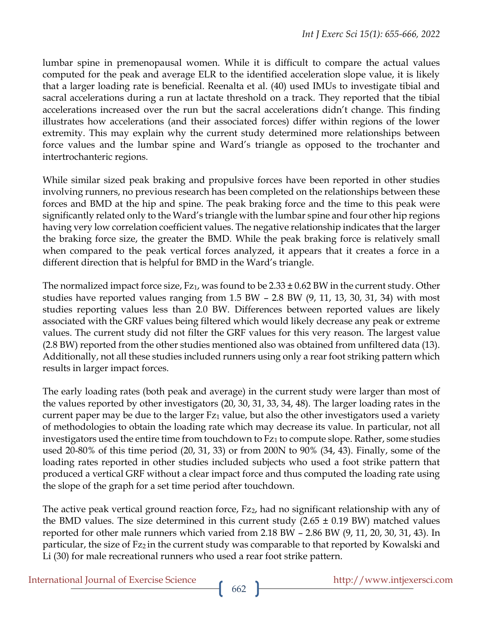lumbar spine in premenopausal women. While it is difficult to compare the actual values computed for the peak and average ELR to the identified acceleration slope value, it is likely that a larger loading rate is beneficial. Reenalta et al. (40) used IMUs to investigate tibial and sacral accelerations during a run at lactate threshold on a track. They reported that the tibial accelerations increased over the run but the sacral accelerations didn't change. This finding illustrates how accelerations (and their associated forces) differ within regions of the lower extremity. This may explain why the current study determined more relationships between force values and the lumbar spine and Ward's triangle as opposed to the trochanter and intertrochanteric regions.

While similar sized peak braking and propulsive forces have been reported in other studies involving runners, no previous research has been completed on the relationships between these forces and BMD at the hip and spine. The peak braking force and the time to this peak were significantly related only to the Ward's triangle with the lumbar spine and four other hip regions having very low correlation coefficient values. The negative relationship indicates that the larger the braking force size, the greater the BMD. While the peak braking force is relatively small when compared to the peak vertical forces analyzed, it appears that it creates a force in a different direction that is helpful for BMD in the Ward's triangle.

The normalized impact force size,  $Fz_1$ , was found to be  $2.33 \pm 0.62$  BW in the current study. Other studies have reported values ranging from 1.5 BW – 2.8 BW (9, 11, 13, 30, 31, 34) with most studies reporting values less than 2.0 BW. Differences between reported values are likely associated with the GRF values being filtered which would likely decrease any peak or extreme values. The current study did not filter the GRF values for this very reason. The largest value (2.8 BW) reported from the other studies mentioned also was obtained from unfiltered data (13). Additionally, not all these studies included runners using only a rear foot striking pattern which results in larger impact forces.

The early loading rates (both peak and average) in the current study were larger than most of the values reported by other investigators (20, 30, 31, 33, 34, 48). The larger loading rates in the current paper may be due to the larger Fz<sub>1</sub> value, but also the other investigators used a variety of methodologies to obtain the loading rate which may decrease its value. In particular, not all investigators used the entire time from touchdown to Fz<sub>1</sub> to compute slope. Rather, some studies used 20-80% of this time period (20, 31, 33) or from 200N to 90% (34, 43). Finally, some of the loading rates reported in other studies included subjects who used a foot strike pattern that produced a vertical GRF without a clear impact force and thus computed the loading rate using the slope of the graph for a set time period after touchdown.

The active peak vertical ground reaction force, Fz<sub>2</sub>, had no significant relationship with any of the BMD values. The size determined in this current study  $(2.65 \pm 0.19 \text{ BW})$  matched values reported for other male runners which varied from 2.18 BW – 2.86 BW (9, 11, 20, 30, 31, 43). In particular, the size of Fz<sub>2</sub> in the current study was comparable to that reported by Kowalski and Li (30) for male recreational runners who used a rear foot strike pattern.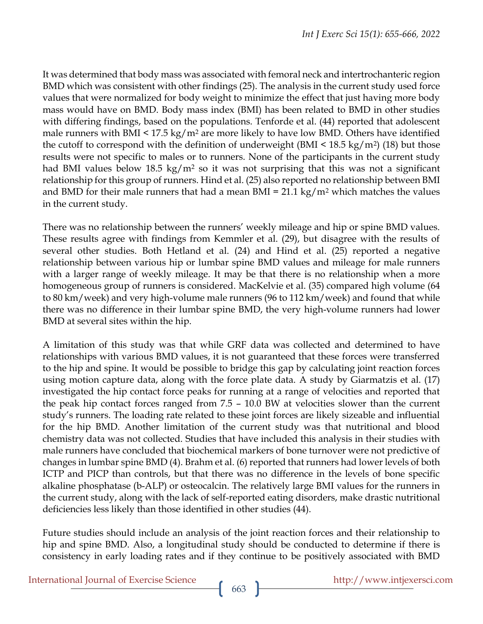It was determined that body mass was associated with femoral neck and intertrochanteric region BMD which was consistent with other findings (25). The analysis in the current study used force values that were normalized for body weight to minimize the effect that just having more body mass would have on BMD. Body mass index (BMI) has been related to BMD in other studies with differing findings, based on the populations. Tenforde et al. (44) reported that adolescent male runners with BMI  $\leq 17.5 \text{ kg/m}^2$  are more likely to have low BMD. Others have identified the cutoff to correspond with the definition of underweight (BMI  $\leq 18.5 \text{ kg/m}^2$ ) (18) but those results were not specific to males or to runners. None of the participants in the current study had BMI values below 18.5 kg/m<sup>2</sup> so it was not surprising that this was not a significant relationship for this group of runners. Hind et al. (25) also reported no relationship between BMI and BMD for their male runners that had a mean BMI =  $21.1 \text{ kg/m}^2$  which matches the values in the current study.

There was no relationship between the runners' weekly mileage and hip or spine BMD values. These results agree with findings from Kemmler et al. (29), but disagree with the results of several other studies. Both Hetland et al. (24) and Hind et al. (25) reported a negative relationship between various hip or lumbar spine BMD values and mileage for male runners with a larger range of weekly mileage. It may be that there is no relationship when a more homogeneous group of runners is considered. MacKelvie et al. (35) compared high volume (64 to 80 km/week) and very high-volume male runners (96 to 112 km/week) and found that while there was no difference in their lumbar spine BMD, the very high-volume runners had lower BMD at several sites within the hip.

A limitation of this study was that while GRF data was collected and determined to have relationships with various BMD values, it is not guaranteed that these forces were transferred to the hip and spine. It would be possible to bridge this gap by calculating joint reaction forces using motion capture data, along with the force plate data. A study by Giarmatzis et al. (17) investigated the hip contact force peaks for running at a range of velocities and reported that the peak hip contact forces ranged from 7.5 – 10.0 BW at velocities slower than the current study's runners. The loading rate related to these joint forces are likely sizeable and influential for the hip BMD. Another limitation of the current study was that nutritional and blood chemistry data was not collected. Studies that have included this analysis in their studies with male runners have concluded that biochemical markers of bone turnover were not predictive of changes in lumbar spine BMD (4). Brahm et al. (6) reported that runners had lower levels of both ICTP and PICP than controls, but that there was no difference in the levels of bone specific alkaline phosphatase (b-ALP) or osteocalcin. The relatively large BMI values for the runners in the current study, along with the lack of self-reported eating disorders, make drastic nutritional deficiencies less likely than those identified in other studies (44).

Future studies should include an analysis of the joint reaction forces and their relationship to hip and spine BMD. Also, a longitudinal study should be conducted to determine if there is consistency in early loading rates and if they continue to be positively associated with BMD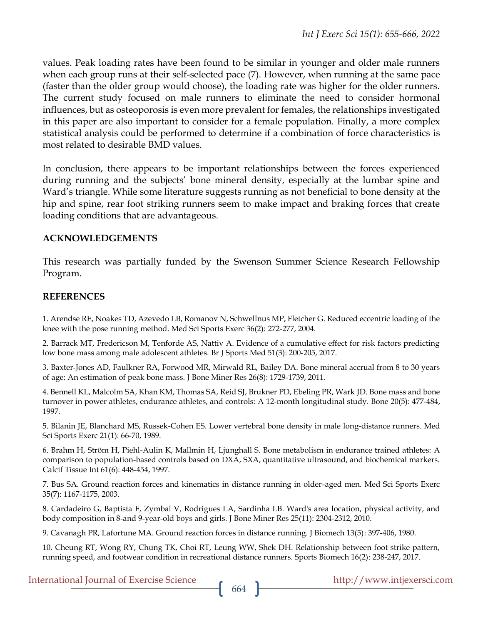values. Peak loading rates have been found to be similar in younger and older male runners when each group runs at their self-selected pace (7). However, when running at the same pace (faster than the older group would choose), the loading rate was higher for the older runners. The current study focused on male runners to eliminate the need to consider hormonal influences, but as osteoporosis is even more prevalent for females, the relationships investigated in this paper are also important to consider for a female population. Finally, a more complex statistical analysis could be performed to determine if a combination of force characteristics is most related to desirable BMD values.

In conclusion, there appears to be important relationships between the forces experienced during running and the subjects' bone mineral density, especially at the lumbar spine and Ward's triangle. While some literature suggests running as not beneficial to bone density at the hip and spine, rear foot striking runners seem to make impact and braking forces that create loading conditions that are advantageous.

# **ACKNOWLEDGEMENTS**

This research was partially funded by the Swenson Summer Science Research Fellowship Program.

#### **REFERENCES**

1. Arendse RE, Noakes TD, Azevedo LB, Romanov N, Schwellnus MP, Fletcher G. Reduced eccentric loading of the knee with the pose running method. Med Sci Sports Exerc 36(2): 272-277, 2004.

2. Barrack MT, Fredericson M, Tenforde AS, Nattiv A. Evidence of a cumulative effect for risk factors predicting low bone mass among male adolescent athletes. Br J Sports Med 51(3): 200-205, 2017.

3. Baxter‐Jones AD, Faulkner RA, Forwood MR, Mirwald RL, Bailey DA. Bone mineral accrual from 8 to 30 years of age: An estimation of peak bone mass. J Bone Miner Res 26(8): 1729-1739, 2011.

4. Bennell KL, Malcolm SA, Khan KM, Thomas SA, Reid SJ, Brukner PD, Ebeling PR, Wark JD. Bone mass and bone turnover in power athletes, endurance athletes, and controls: A 12-month longitudinal study. Bone 20(5): 477-484, 1997.

5. Bilanin JE, Blanchard MS, Russek-Cohen ES. Lower vertebral bone density in male long-distance runners. Med Sci Sports Exerc 21(1): 66-70, 1989.

6. Brahm H, Ström H, Piehl-Aulin K, Mallmin H, Ljunghall S. Bone metabolism in endurance trained athletes: A comparison to population-based controls based on DXA, SXA, quantitative ultrasound, and biochemical markers. Calcif Tissue Int 61(6): 448-454, 1997.

7. Bus SA. Ground reaction forces and kinematics in distance running in older-aged men. Med Sci Sports Exerc 35(7): 1167-1175, 2003.

8. Cardadeiro G, Baptista F, Zymbal V, Rodrigues LA, Sardinha LB. Ward's area location, physical activity, and body composition in 8‐and 9‐year‐old boys and girls. J Bone Miner Res 25(11): 2304-2312, 2010.

9. Cavanagh PR, Lafortune MA. Ground reaction forces in distance running. J Biomech 13(5): 397-406, 1980.

10. Cheung RT, Wong RY, Chung TK, Choi RT, Leung WW, Shek DH. Relationship between foot strike pattern, running speed, and footwear condition in recreational distance runners. Sports Biomech 16(2): 238-247, 2017.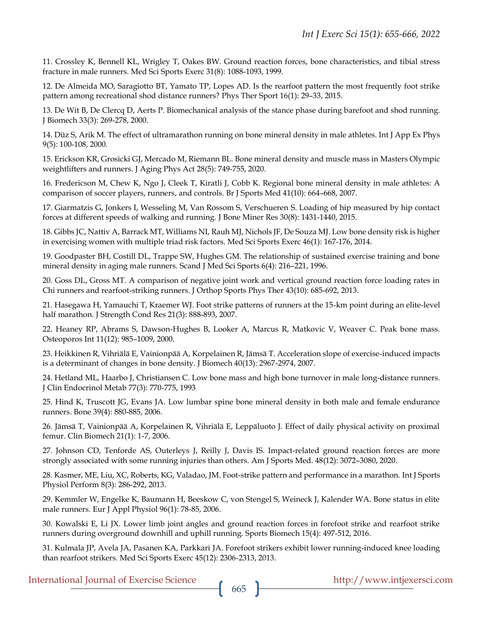11. Crossley K, Bennell KL, Wrigley T, Oakes BW. Ground reaction forces, bone characteristics, and tibial stress fracture in male runners. Med Sci Sports Exerc 31(8): 1088-1093, 1999.

12. De Almeida MO, Saragiotto BT, Yamato TP, Lopes AD. Is the rearfoot pattern the most frequently foot strike pattern among recreational shod distance runners? Phys Ther Sport 16(1): 29–33, 2015.

13. De Wit B, De Clercq D, Aerts P. Biomechanical analysis of the stance phase during barefoot and shod running. J Biomech 33(3): 269-278, 2000.

14. Düz S, Arik M. The effect of ultramarathon running on bone mineral density in male athletes. Int J App Ex Phys 9(5): 100-108, 2000.

15. Erickson KR, Grosicki GJ, Mercado M, Riemann BL. Bone mineral density and muscle mass in Masters Olympic weightlifters and runners. J Aging Phys Act 28(5): 749-755, 2020.

16. Fredericson M, Chew K, Ngo J, Cleek T, Kiratli J, Cobb K. Regional bone mineral density in male athletes: A comparison of soccer players, runners, and controls. Br J Sports Med 41(10): 664–668, 2007.

17. Giarmatzis G, Jonkers I, Wesseling M, Van Rossom S, Verschueren S. Loading of hip measured by hip contact forces at different speeds of walking and running. J Bone Miner Res 30(8): 1431-1440, 2015.

18. Gibbs JC, Nattiv A, Barrack MT, Williams NI, Rauh MJ, Nichols JF, De Souza MJ. Low bone density risk is higher in exercising women with multiple triad risk factors. Med Sci Sports Exerc 46(1): 167-176, 2014.

19. Goodpaster BH, Costill DL, Trappe SW, Hughes GM. The relationship of sustained exercise training and bone mineral density in aging male runners. Scand J Med Sci Sports 6(4): 216–221, 1996.

20. Goss DL, Gross MT. A comparison of negative joint work and vertical ground reaction force loading rates in Chi runners and rearfoot-striking runners. J Orthop Sports Phys Ther 43(10): 685-692, 2013.

21. Hasegawa H, Yamauchi T, Kraemer WJ. Foot strike patterns of runners at the 15-km point during an elite-level half marathon. J Strength Cond Res 21(3): 888-893, 2007.

22. Heaney RP, Abrams S, Dawson-Hughes B, Looker A, Marcus R, Matkovic V, Weaver C. Peak bone mass. Osteoporos Int 11(12): 985–1009, 2000.

23. Heikkinen R, Vihriälä E, Vainionpää A, Korpelainen R, Jämsä T. Acceleration slope of exercise-induced impacts is a determinant of changes in bone density. J Biomech 40(13): 2967-2974, 2007.

24. Hetland ML, Haarbo J, Christiansen C. Low bone mass and high bone turnover in male long-distance runners. J Clin Endocrinol Metab 77(3): 770-775, 1993

25. Hind K, Truscott JG, Evans JA. Low lumbar spine bone mineral density in both male and female endurance runners. Bone 39(4): 880-885, 2006.

26. Jämsä T, Vainionpää A, Korpelainen R, Vihriälä E, Leppäluoto J. Effect of daily physical activity on proximal femur. Clin Biomech 21(1): 1-7, 2006.

27. Johnson CD, Tenforde AS, Outerleys J, Reilly J, Davis IS. Impact-related ground reaction forces are more strongly associated with some running injuries than others. Am J Sports Med. 48(12): 3072–3080, 2020.

28. Kasmer, ME, Liu, XC, Roberts, KG, Valadao, JM. Foot-strike pattern and performance in a marathon. Int J Sports Physiol Perform 8(3): 286-292, 2013.

29. Kemmler W, Engelke K, Baumann H, Beeskow C, von Stengel S, Weineck J, Kalender WA. Bone status in elite male runners. Eur J Appl Physiol 96(1): 78-85, 2006.

30. Kowalski E, Li JX. Lower limb joint angles and ground reaction forces in forefoot strike and rearfoot strike runners during overground downhill and uphill running. Sports Biomech 15(4): 497-512, 2016.

31. Kulmala JP, Avela JA, Pasanen KA, Parkkari JA. Forefoot strikers exhibit lower running-induced knee loading than rearfoot strikers. Med Sci Sports Exerc 45(12): 2306-2313, 2013.